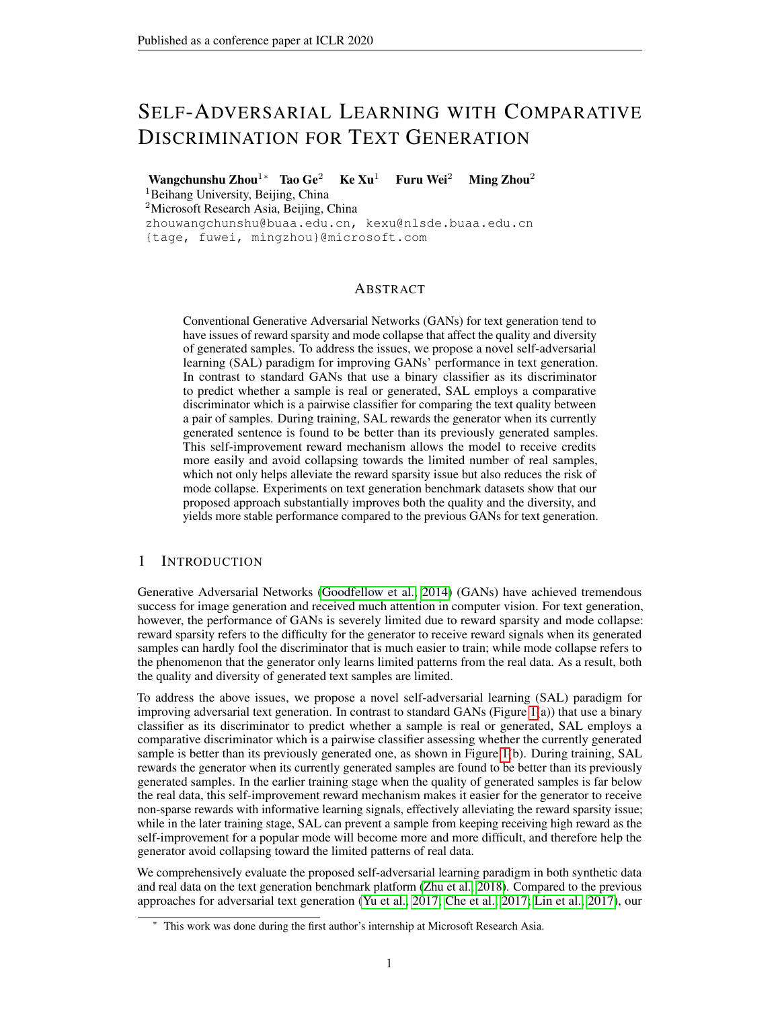# SELF-ADVERSARIAL LEARNING WITH COMPARATIVE DISCRIMINATION FOR TEXT GENERATION

Wangchunshu Zhou<sup>1</sup>\* Tao Ge<sup>2</sup> Ke Xu<sup>1</sup> Furu Wei<sup>2</sup> Ming Zhou<sup>2</sup>

<sup>1</sup>Beihang University, Beijing, China

<sup>2</sup>Microsoft Research Asia, Beijing, China

zhouwangchunshu@buaa.edu.cn, kexu@nlsde.buaa.edu.cn {tage, fuwei, mingzhou}@microsoft.com

# ABSTRACT

Conventional Generative Adversarial Networks (GANs) for text generation tend to have issues of reward sparsity and mode collapse that affect the quality and diversity of generated samples. To address the issues, we propose a novel self-adversarial learning (SAL) paradigm for improving GANs' performance in text generation. In contrast to standard GANs that use a binary classifier as its discriminator to predict whether a sample is real or generated, SAL employs a comparative discriminator which is a pairwise classifier for comparing the text quality between a pair of samples. During training, SAL rewards the generator when its currently generated sentence is found to be better than its previously generated samples. This self-improvement reward mechanism allows the model to receive credits more easily and avoid collapsing towards the limited number of real samples, which not only helps alleviate the reward sparsity issue but also reduces the risk of mode collapse. Experiments on text generation benchmark datasets show that our proposed approach substantially improves both the quality and the diversity, and yields more stable performance compared to the previous GANs for text generation.

# 1 INTRODUCTION

Generative Adversarial Networks [\(Goodfellow et al., 2014\)](#page-8-0) (GANs) have achieved tremendous success for image generation and received much attention in computer vision. For text generation, however, the performance of GANs is severely limited due to reward sparsity and mode collapse: reward sparsity refers to the difficulty for the generator to receive reward signals when its generated samples can hardly fool the discriminator that is much easier to train; while mode collapse refers to the phenomenon that the generator only learns limited patterns from the real data. As a result, both the quality and diversity of generated text samples are limited.

To address the above issues, we propose a novel self-adversarial learning (SAL) paradigm for improving adversarial text generation. In contrast to standard GANs (Figure [1\(](#page-1-0)a)) that use a binary classifier as its discriminator to predict whether a sample is real or generated, SAL employs a comparative discriminator which is a pairwise classifier assessing whether the currently generated sample is better than its previously generated one, as shown in Figure [1\(](#page-1-0)b). During training, SAL rewards the generator when its currently generated samples are found to be better than its previously generated samples. In the earlier training stage when the quality of generated samples is far below the real data, this self-improvement reward mechanism makes it easier for the generator to receive non-sparse rewards with informative learning signals, effectively alleviating the reward sparsity issue; while in the later training stage, SAL can prevent a sample from keeping receiving high reward as the self-improvement for a popular mode will become more and more difficult, and therefore help the generator avoid collapsing toward the limited patterns of real data.

We comprehensively evaluate the proposed self-adversarial learning paradigm in both synthetic data and real data on the text generation benchmark platform [\(Zhu et al., 2018\)](#page-9-0). Compared to the previous approaches for adversarial text generation [\(Yu et al., 2017;](#page-9-1) [Che et al., 2017;](#page-8-1) [Lin et al., 2017\)](#page-9-2), our

This work was done during the first author's internship at Microsoft Research Asia.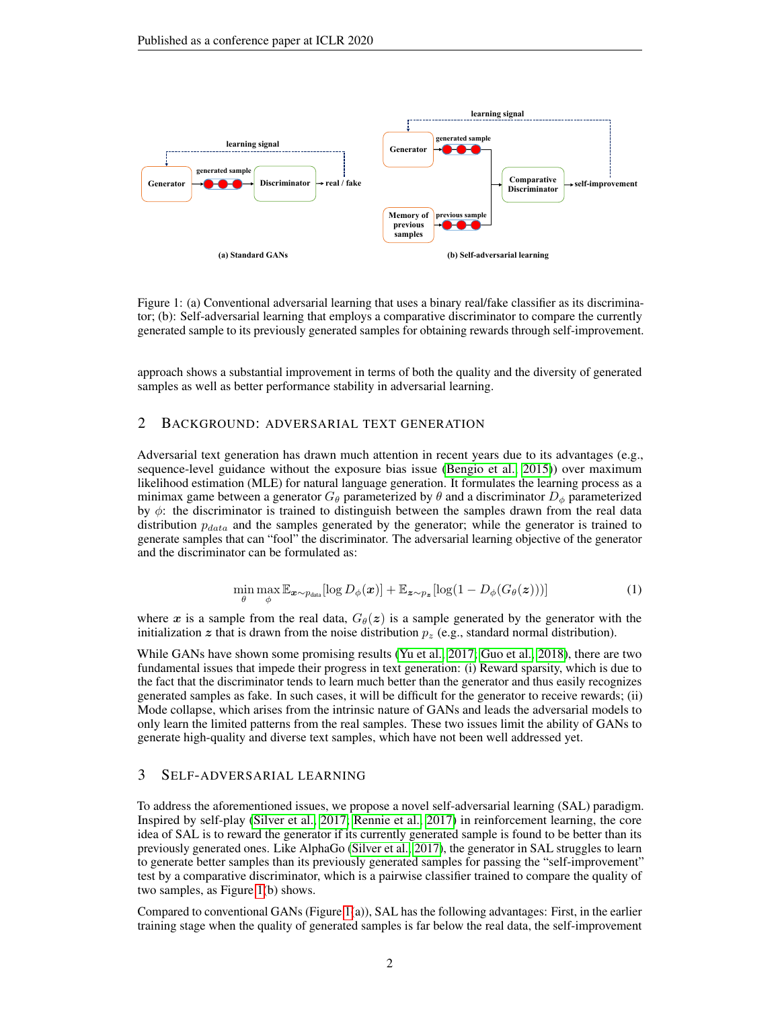

<span id="page-1-0"></span>Figure 1: (a) Conventional adversarial learning that uses a binary real/fake classifier as its discriminator; (b): Self-adversarial learning that employs a comparative discriminator to compare the currently generated sample to its previously generated samples for obtaining rewards through self-improvement.

approach shows a substantial improvement in terms of both the quality and the diversity of generated samples as well as better performance stability in adversarial learning.

## 2 BACKGROUND: ADVERSARIAL TEXT GENERATION

Adversarial text generation has drawn much attention in recent years due to its advantages (e.g., sequence-level guidance without the exposure bias issue [\(Bengio et al., 2015\)](#page-8-2)) over maximum likelihood estimation (MLE) for natural language generation. It formulates the learning process as a minimax game between a generator  $G_{\theta}$  parameterized by  $\theta$  and a discriminator  $D_{\phi}$  parameterized by  $\phi$ : the discriminator is trained to distinguish between the samples drawn from the real data distribution  $p_{data}$  and the samples generated by the generator; while the generator is trained to generate samples that can "fool" the discriminator. The adversarial learning objective of the generator and the discriminator can be formulated as:

$$
\min_{\theta} \max_{\phi} \mathbb{E}_{\mathbf{x} \sim p_{\text{data}}} [\log D_{\phi}(\mathbf{x})] + \mathbb{E}_{\mathbf{z} \sim p_{\mathbf{z}}} [\log (1 - D_{\phi}(G_{\theta}(\mathbf{z})))] \tag{1}
$$

where x is a sample from the real data,  $G_{\theta}(z)$  is a sample generated by the generator with the initialization z that is drawn from the noise distribution  $p_z$  (e.g., standard normal distribution).

While GANs have shown some promising results [\(Yu et al., 2017;](#page-9-1) [Guo et al., 2018\)](#page-8-3), there are two fundamental issues that impede their progress in text generation: (i) Reward sparsity, which is due to the fact that the discriminator tends to learn much better than the generator and thus easily recognizes generated samples as fake. In such cases, it will be difficult for the generator to receive rewards; (ii) Mode collapse, which arises from the intrinsic nature of GANs and leads the adversarial models to only learn the limited patterns from the real samples. These two issues limit the ability of GANs to generate high-quality and diverse text samples, which have not been well addressed yet.

## 3 SELF-ADVERSARIAL LEARNING

To address the aforementioned issues, we propose a novel self-adversarial learning (SAL) paradigm. Inspired by self-play [\(Silver et al., 2017;](#page-9-3) [Rennie et al., 2017\)](#page-9-4) in reinforcement learning, the core idea of SAL is to reward the generator if its currently generated sample is found to be better than its previously generated ones. Like AlphaGo [\(Silver et al., 2017\)](#page-9-3), the generator in SAL struggles to learn to generate better samples than its previously generated samples for passing the "self-improvement" test by a comparative discriminator, which is a pairwise classifier trained to compare the quality of two samples, as Figure [1\(](#page-1-0)b) shows.

Compared to conventional GANs (Figure [1\(](#page-1-0)a)), SAL has the following advantages: First, in the earlier training stage when the quality of generated samples is far below the real data, the self-improvement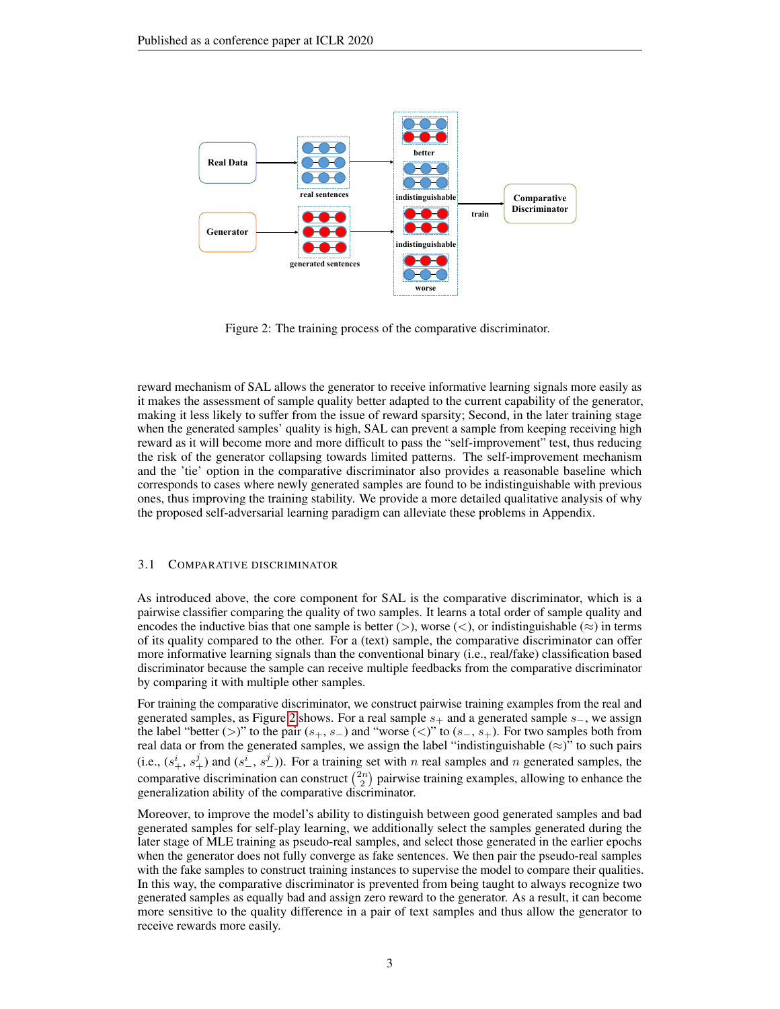

<span id="page-2-0"></span>Figure 2: The training process of the comparative discriminator.

reward mechanism of SAL allows the generator to receive informative learning signals more easily as it makes the assessment of sample quality better adapted to the current capability of the generator, making it less likely to suffer from the issue of reward sparsity; Second, in the later training stage when the generated samples' quality is high, SAL can prevent a sample from keeping receiving high reward as it will become more and more difficult to pass the "self-improvement" test, thus reducing the risk of the generator collapsing towards limited patterns. The self-improvement mechanism and the 'tie' option in the comparative discriminator also provides a reasonable baseline which corresponds to cases where newly generated samples are found to be indistinguishable with previous ones, thus improving the training stability. We provide a more detailed qualitative analysis of why the proposed self-adversarial learning paradigm can alleviate these problems in Appendix.

#### 3.1 COMPARATIVE DISCRIMINATOR

As introduced above, the core component for SAL is the comparative discriminator, which is a pairwise classifier comparing the quality of two samples. It learns a total order of sample quality and encodes the inductive bias that one sample is better (>), worse (<), or indistinguishable ( $\approx$ ) in terms of its quality compared to the other. For a (text) sample, the comparative discriminator can offer more informative learning signals than the conventional binary (i.e., real/fake) classification based discriminator because the sample can receive multiple feedbacks from the comparative discriminator by comparing it with multiple other samples.

For training the comparative discriminator, we construct pairwise training examples from the real and generated samples, as Figure [2](#page-2-0) shows. For a real sample  $s_+$  and a generated sample  $s_-,$  we assign the label "better (>)" to the pair  $(s_+, s_-)$  and "worse (<)" to  $(s_-, s_+)$ . For two samples both from real data or from the generated samples, we assign the label "indistinguishable  $(\approx)$ " to such pairs (i.e.,  $(s_+^i, s_+^j)$  and  $(s_-^i, s_-^j)$ ). For a training set with n real samples and n generated samples, the comparative discrimination can construct  $\binom{2n}{2}$  pairwise training examples, allowing to enhance the generalization ability of the comparative discriminator.

Moreover, to improve the model's ability to distinguish between good generated samples and bad generated samples for self-play learning, we additionally select the samples generated during the later stage of MLE training as pseudo-real samples, and select those generated in the earlier epochs when the generator does not fully converge as fake sentences. We then pair the pseudo-real samples with the fake samples to construct training instances to supervise the model to compare their qualities. In this way, the comparative discriminator is prevented from being taught to always recognize two generated samples as equally bad and assign zero reward to the generator. As a result, it can become more sensitive to the quality difference in a pair of text samples and thus allow the generator to receive rewards more easily.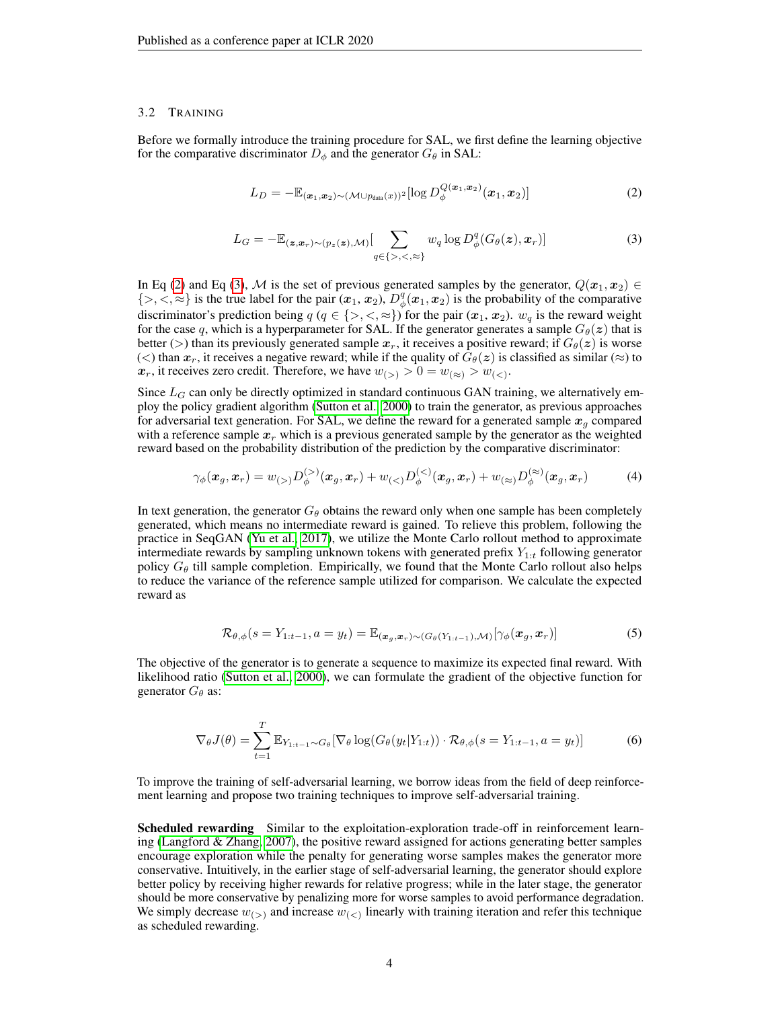#### 3.2 TRAINING

Before we formally introduce the training procedure for SAL, we first define the learning objective for the comparative discriminator  $D_{\phi}$  and the generator  $G_{\theta}$  in SAL:

<span id="page-3-0"></span>
$$
L_D = -\mathbb{E}_{(\boldsymbol{x}_1,\boldsymbol{x}_2)\sim(\mathcal{M}\cup p_{\text{data}}(x))^2}[\log D_{\phi}^{Q(\boldsymbol{x}_1,\boldsymbol{x}_2)}(\boldsymbol{x}_1,\boldsymbol{x}_2)]
$$
(2)

<span id="page-3-1"></span>
$$
L_G = -\mathbb{E}_{(\mathbf{z}, \mathbf{x}_r) \sim (p_{\mathbf{z}}(\mathbf{z}), \mathcal{M})} \left[ \sum_{q \in \{>, <, \leq\}} w_q \log D_{\phi}^q(G_{\theta}(\mathbf{z}), \mathbf{x}_r) \right]
$$
(3)

In Eq [\(2\)](#page-3-0) and Eq [\(3\)](#page-3-1), M is the set of previous generated samples by the generator,  $Q(x_1, x_2) \in$  $\{>, \leq, \approx\}$  is the true label for the pair  $(x_1, x_2)$ ,  $D^q_{\phi}(x_1, x_2)$  is the probability of the comparative discriminator's prediction being  $q$  ( $q \in \{>, <, \approx\}$ ) for the pair  $(x_1, x_2)$ .  $w_q$  is the reward weight for the case q, which is a hyperparameter for SAL. If the generator generates a sample  $G_{\theta}(z)$  that is better (>) than its previously generated sample  $x_r$ , it receives a positive reward; if  $G_\theta(z)$  is worse (<) than  $x_r$ , it receives a negative reward; while if the quality of  $G_\theta(z)$  is classified as similar ( $\approx$ ) to  $x_r$ , it receives zero credit. Therefore, we have  $w_{(>)} > 0 = w_{(<)} > w_{(<)}$ .

Since  $L_G$  can only be directly optimized in standard continuous GAN training, we alternatively employ the policy gradient algorithm [\(Sutton et al., 2000\)](#page-9-5) to train the generator, as previous approaches for adversarial text generation. For SAL, we define the reward for a generated sample  $x_q$  compared with a reference sample  $x_r$  which is a previous generated sample by the generator as the weighted reward based on the probability distribution of the prediction by the comparative discriminator:

$$
\gamma_{\phi}(\boldsymbol{x}_{g},\boldsymbol{x}_{r}) = w_{(>)}D_{\phi}^{(>)}(\boldsymbol{x}_{g},\boldsymbol{x}_{r}) + w_{(<)}D_{\phi}^{(<)}(\boldsymbol{x}_{g},\boldsymbol{x}_{r}) + w_{(\\\approx)}D_{\phi}^{(\\\approx)}(\boldsymbol{x}_{g},\boldsymbol{x}_{r})
$$
(4)

In text generation, the generator  $G_{\theta}$  obtains the reward only when one sample has been completely generated, which means no intermediate reward is gained. To relieve this problem, following the practice in SeqGAN [\(Yu et al., 2017\)](#page-9-1), we utilize the Monte Carlo rollout method to approximate intermediate rewards by sampling unknown tokens with generated prefix  $Y_{1:t}$  following generator policy  $G_{\theta}$  till sample completion. Empirically, we found that the Monte Carlo rollout also helps to reduce the variance of the reference sample utilized for comparison. We calculate the expected reward as

$$
\mathcal{R}_{\theta,\phi}(s=Y_{1:t-1},a=y_t)=\mathbb{E}_{(\boldsymbol{x}_g,\boldsymbol{x}_r)\sim(G_{\theta}(Y_{1:t-1}),\mathcal{M})}[\gamma_{\phi}(\boldsymbol{x}_g,\boldsymbol{x}_r)]
$$
(5)

The objective of the generator is to generate a sequence to maximize its expected final reward. With likelihood ratio [\(Sutton et al., 2000\)](#page-9-5), we can formulate the gradient of the objective function for generator  $G_{\theta}$  as:

<span id="page-3-2"></span>
$$
\nabla_{\theta} J(\theta) = \sum_{t=1}^{T} \mathbb{E}_{Y_{1:t-1} \sim G_{\theta}} [\nabla_{\theta} \log(G_{\theta}(y_t|Y_{1:t})) \cdot \mathcal{R}_{\theta, \phi}(s = Y_{1:t-1}, a = y_t)] \tag{6}
$$

To improve the training of self-adversarial learning, we borrow ideas from the field of deep reinforcement learning and propose two training techniques to improve self-adversarial training.

Scheduled rewarding Similar to the exploitation-exploration trade-off in reinforcement learning [\(Langford & Zhang, 2007\)](#page-9-6), the positive reward assigned for actions generating better samples encourage exploration while the penalty for generating worse samples makes the generator more conservative. Intuitively, in the earlier stage of self-adversarial learning, the generator should explore better policy by receiving higher rewards for relative progress; while in the later stage, the generator should be more conservative by penalizing more for worse samples to avoid performance degradation. We simply decrease  $w_{(>)}$  and increase  $w_{(<)}$  linearly with training iteration and refer this technique as scheduled rewarding.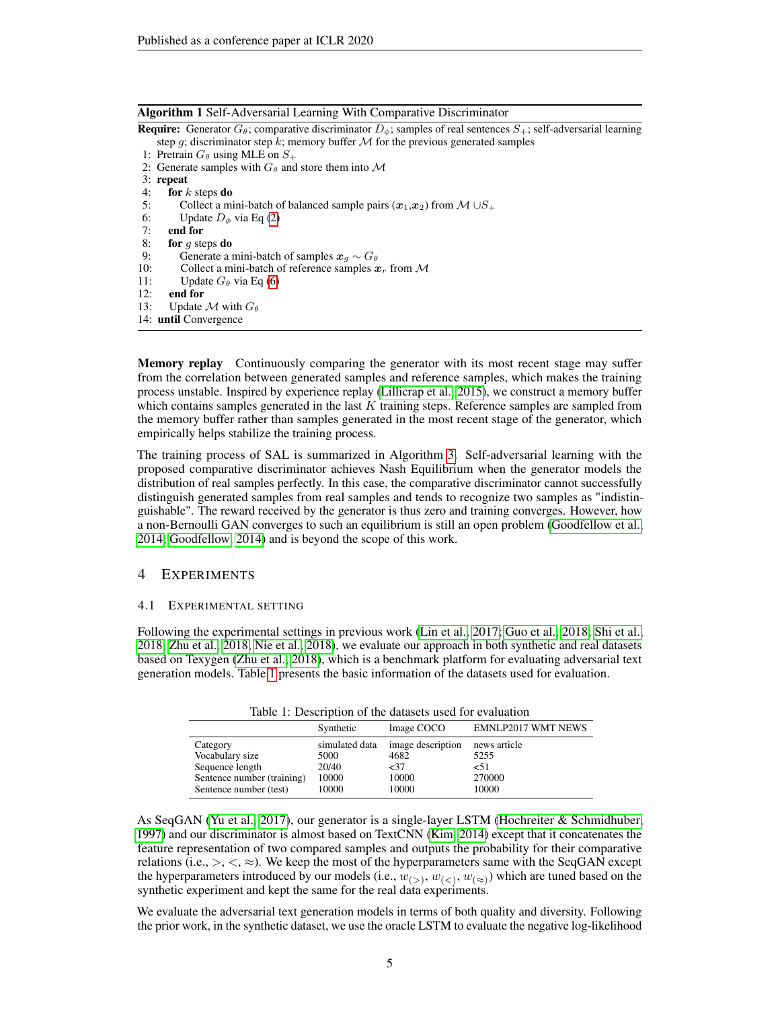## Algorithm 1 Self-Adversarial Learning With Comparative Discriminator

**Require:** Generator  $G_{\theta}$ ; comparative discriminator  $D_{\phi}$ ; samples of real sentences  $S_{+}$ ; self-adversarial learning step g; discriminator step k; memory buffer  $M$  for the previous generated samples

- 1: Pretrain  $G_{\theta}$  using MLE on  $S_{+}$
- 2: Generate samples with  $G_{\theta}$  and store them into M
- 3: repeat<br>4: for  $k$
- for  $k$  steps do
- 5: Collect a mini-batch of balanced sample pairs  $(x_1, x_2)$  from  $M \cup S_+$
- 6: Update  $D_{\phi}$  via Eq [\(2\)](#page-3-0)<br>7: **end for**
- end for
- 8: for  $g$  steps do
- 9: Generate a mini-batch of samples  $x_a \sim G_\theta$
- 10: Collect a mini-batch of reference samples  $x_r$  from M
- 11: Update  $G_{\theta}$  via Eq [\(6\)](#page-3-2)
- 12: end for
- 13: Update  $\mathcal M$  with  $G_\theta$
- 14: until Convergence

Memory replay Continuously comparing the generator with its most recent stage may suffer from the correlation between generated samples and reference samples, which makes the training process unstable. Inspired by experience replay [\(Lillicrap et al., 2015\)](#page-9-7), we construct a memory buffer which contains samples generated in the last  $K$  training steps. Reference samples are sampled from the memory buffer rather than samples generated in the most recent stage of the generator, which empirically helps stabilize the training process.

The training process of SAL is summarized in Algorithm [3.](#page-14-0) Self-adversarial learning with the proposed comparative discriminator achieves Nash Equilibrium when the generator models the distribution of real samples perfectly. In this case, the comparative discriminator cannot successfully distinguish generated samples from real samples and tends to recognize two samples as "indistinguishable". The reward received by the generator is thus zero and training converges. However, how a non-Bernoulli GAN converges to such an equilibrium is still an open problem [\(Goodfellow et al.,](#page-8-0) [2014;](#page-8-0) [Goodfellow, 2014\)](#page-8-4) and is beyond the scope of this work.

# 4 EXPERIMENTS

## 4.1 EXPERIMENTAL SETTING

Following the experimental settings in previous work [\(Lin et al., 2017;](#page-9-2) [Guo et al., 2018;](#page-8-3) [Shi et al.,](#page-9-8) [2018;](#page-9-8) [Zhu et al., 2018;](#page-9-0) [Nie et al., 2018\)](#page-9-9), we evaluate our approach in both synthetic and real datasets based on Texygen [\(Zhu et al., 2018\)](#page-9-0), which is a benchmark platform for evaluating adversarial text generation models. Table [1](#page-4-0) presents the basic information of the datasets used for evaluation.

|  |  | Table 1: Description of the datasets used for evaluation |
|--|--|----------------------------------------------------------|
|--|--|----------------------------------------------------------|

<span id="page-4-0"></span>

|                            | Synthetic      | Image COCO        | <b>EMNLP2017 WMT NEWS</b> |
|----------------------------|----------------|-------------------|---------------------------|
| Category                   | simulated data | image description | news article              |
| Vocabulary size            | 5000           | 4682              | 5255                      |
| Sequence length            | 20/40          | $<$ 37            | 51                        |
| Sentence number (training) | 10000          | 10000             | 270000                    |
| Sentence number (test)     | 10000          | 10000             | 10000                     |

As SeqGAN [\(Yu et al., 2017\)](#page-9-1), our generator is a single-layer LSTM [\(Hochreiter & Schmidhuber,](#page-9-10) [1997\)](#page-9-10) and our discriminator is almost based on TextCNN [\(Kim, 2014\)](#page-9-11) except that it concatenates the feature representation of two compared samples and outputs the probability for their comparative relations (i.e.,  $>$ ,  $\lt$ ,  $\approx$ ). We keep the most of the hyperparameters same with the SeqGAN except the hyperparameters introduced by our models (i.e.,  $w_{(>)}$ ,  $w_{(<)}$ ,  $w_{(\approx)}$ ) which are tuned based on the synthetic experiment and kept the same for the real data experiments.

We evaluate the adversarial text generation models in terms of both quality and diversity. Following the prior work, in the synthetic dataset, we use the oracle LSTM to evaluate the negative log-likelihood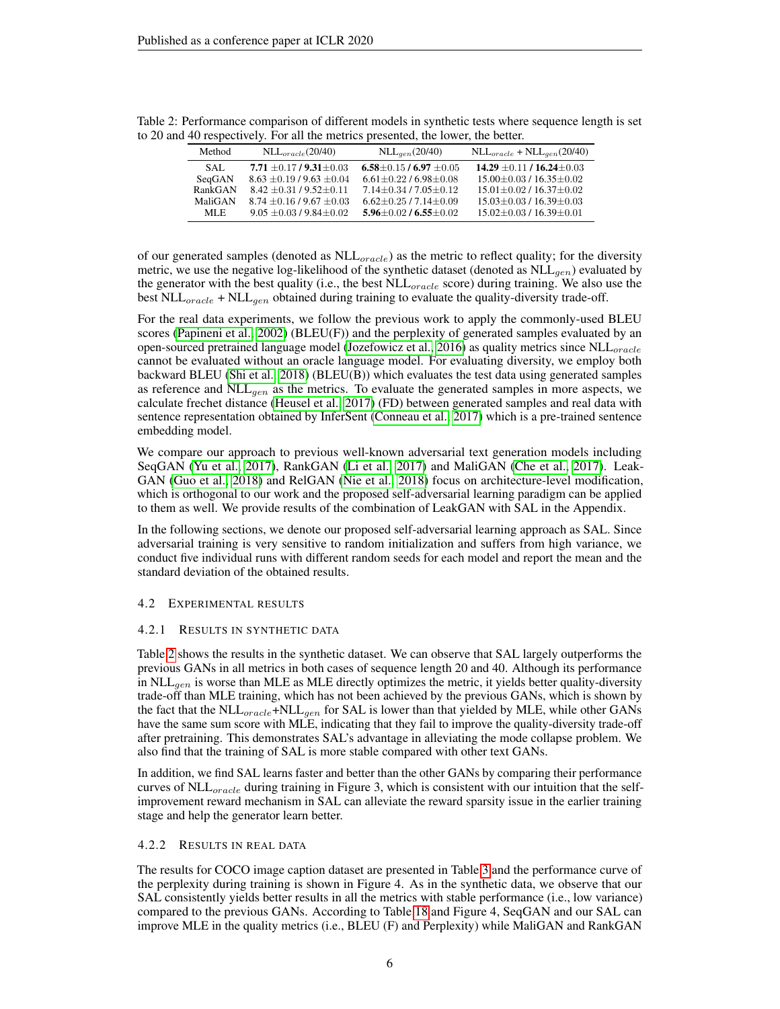|         | $\sim$ respectively, I of an and meaned presenced, and follow, and detect. |                                   |                                     |
|---------|----------------------------------------------------------------------------|-----------------------------------|-------------------------------------|
| Method  | $NLL_{oracle}(20/40)$                                                      | $NLL_{gen}(20/40)$                | $NLL_{oracle} + NLL_{gen}(20/40)$   |
| SAL.    | 7.71 $\pm$ 0.17/9.31 $\pm$ 0.03                                            | 6.58 $\pm$ 0.15 / 6.97 $\pm$ 0.05 | 14.29 $\pm$ 0.11 / 16.24 $\pm$ 0.03 |
| SeqGAN  | $8.63 \pm 0.19/9.63 \pm 0.04$                                              | $6.61 \pm 0.22$ / $6.98 \pm 0.08$ | $15.00 \pm 0.03 / 16.35 \pm 0.02$   |
| RankGAN | $8.42 \pm 0.31/9.52 \pm 0.11$                                              | $7.14 \pm 0.34 / 7.05 \pm 0.12$   | $15.01 \pm 0.02 / 16.37 \pm 0.02$   |
| MaliGAN | $8.74 \pm 0.16/9.67 \pm 0.03$                                              | $6.62 \pm 0.25$ / $7.14 \pm 0.09$ | $15.03 \pm 0.03 / 16.39 \pm 0.03$   |
| MLE.    | $9.05 \pm 0.03/9.84 \pm 0.02$                                              | $5.96 \pm 0.02$ / $6.55 \pm 0.02$ | $15.02 \pm 0.03 / 16.39 \pm 0.01$   |

<span id="page-5-0"></span>Table 2: Performance comparison of different models in synthetic tests where sequence length is set to 20 and 40 respectively. For all the metrics presented, the lower, the better.

of our generated samples (denoted as  $NLL_{oracle}$ ) as the metric to reflect quality; for the diversity metric, we use the negative log-likelihood of the synthetic dataset (denoted as  $NLL_{gen}$ ) evaluated by the generator with the best quality (i.e., the best  $NLL_{oracle}$  score) during training. We also use the best NLL<sub>oracle</sub> + NLL<sub>qen</sub> obtained during training to evaluate the quality-diversity trade-off.

For the real data experiments, we follow the previous work to apply the commonly-used BLEU scores [\(Papineni et al., 2002\)](#page-9-12) (BLEU(F)) and the perplexity of generated samples evaluated by an open-sourced pretrained language model [\(Jozefowicz et al., 2016\)](#page-9-13) as quality metrics since  $NLL_{oracle}$ cannot be evaluated without an oracle language model. For evaluating diversity, we employ both backward BLEU [\(Shi et al., 2018\)](#page-9-8) (BLEU(B)) which evaluates the test data using generated samples as reference and  $NLL_{gen}$  as the metrics. To evaluate the generated samples in more aspects, we calculate frechet distance [\(Heusel et al., 2017\)](#page-8-5) (FD) between generated samples and real data with sentence representation obtained by InferSent [\(Conneau et al., 2017\)](#page-8-6) which is a pre-trained sentence embedding model.

We compare our approach to previous well-known adversarial text generation models including SeqGAN [\(Yu et al., 2017\)](#page-9-1), RankGAN [\(Li et al., 2017\)](#page-9-14) and MaliGAN [\(Che et al., 2017\)](#page-8-1). Leak-GAN [\(Guo et al., 2018\)](#page-8-3) and RelGAN [\(Nie et al., 2018\)](#page-9-9) focus on architecture-level modification, which is orthogonal to our work and the proposed self-adversarial learning paradigm can be applied to them as well. We provide results of the combination of LeakGAN with SAL in the Appendix.

In the following sections, we denote our proposed self-adversarial learning approach as SAL. Since adversarial training is very sensitive to random initialization and suffers from high variance, we conduct five individual runs with different random seeds for each model and report the mean and the standard deviation of the obtained results.

#### 4.2 EXPERIMENTAL RESULTS

#### 4.2.1 RESULTS IN SYNTHETIC DATA

Table [2](#page-5-0) shows the results in the synthetic dataset. We can observe that SAL largely outperforms the previous GANs in all metrics in both cases of sequence length 20 and 40. Although its performance in NLL<sub>gen</sub> is worse than MLE as MLE directly optimizes the metric, it yields better quality-diversity trade-off than MLE training, which has not been achieved by the previous GANs, which is shown by the fact that the  $NLL_{oracle} + NLL_{gen}$  for SAL is lower than that yielded by MLE, while other GANs have the same sum score with MLE, indicating that they fail to improve the quality-diversity trade-off after pretraining. This demonstrates SAL's advantage in alleviating the mode collapse problem. We also find that the training of SAL is more stable compared with other text GANs.

In addition, we find SAL learns faster and better than the other GANs by comparing their performance curves of  $\text{NLL}_{oracle}$  during training in Figure 3, which is consistent with our intuition that the selfimprovement reward mechanism in SAL can alleviate the reward sparsity issue in the earlier training stage and help the generator learn better.

#### 4.2.2 RESULTS IN REAL DATA

The results for COCO image caption dataset are presented in Table [3](#page-6-0) and the performance curve of the perplexity during training is shown in Figure 4. As in the synthetic data, we observe that our SAL consistently yields better results in all the metrics with stable performance (i.e., low variance) compared to the previous GANs. According to Table [18](#page-16-0) and Figure 4, SeqGAN and our SAL can improve MLE in the quality metrics (i.e., BLEU (F) and Perplexity) while MaliGAN and RankGAN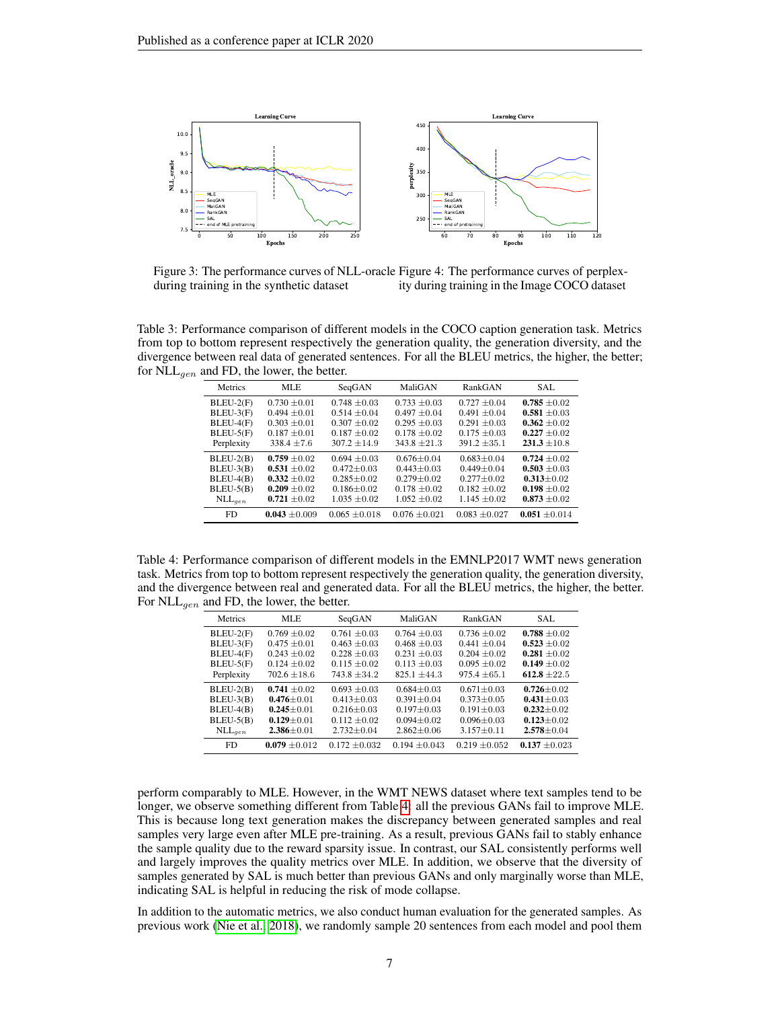

Figure 3: The performance curves of NLL-oracle Figure 4: The performance curves of perplexduring training in the synthetic dataset ity during training in the Image COCO dataset

<span id="page-6-0"></span>Table 3: Performance comparison of different models in the COCO caption generation task. Metrics from top to bottom represent respectively the generation quality, the generation diversity, and the divergence between real data of generated sentences. For all the BLEU metrics, the higher, the better; for  $NLL_{gen}$  and FD, the lower, the better.

| Metrics        | MLE               | SeqGAN            | MaliGAN           | RankGAN           | SAL               |
|----------------|-------------------|-------------------|-------------------|-------------------|-------------------|
| $BLEU-2(F)$    | $0.730 \pm 0.01$  | $0.748 \pm 0.03$  | $0.733 \pm 0.03$  | $0.727 \pm 0.04$  | $0.785 \pm 0.02$  |
| $BLEU-3(F)$    | $0.494 \pm 0.01$  | $0.514 \pm 0.04$  | $0.497 \pm 0.04$  | $0.491 \pm 0.04$  | $0.581 \pm 0.03$  |
| $BLEU-4(F)$    | $0.303 \pm 0.01$  | $0.307 + 0.02$    | $0.295 \pm 0.03$  | $0.291 \pm 0.03$  | $0.362 + 0.02$    |
| $BLEU-5(F)$    | $0.187 \pm 0.01$  | $0.187 \pm 0.02$  | $0.178 \pm 0.02$  | $0.175 \pm 0.03$  | $0.227 \pm 0.02$  |
| Perplexity     | $338.4 \pm 7.6$   | $307.2 \pm 14.9$  | $343.8 \pm 21.3$  | $391.2 \pm 35.1$  | $231.3 \pm 10.8$  |
| $BLEU-2(B)$    | $0.759 \pm 0.02$  | $0.694 \pm 0.03$  | $0.676 \pm 0.04$  | $0.683 \pm 0.04$  | $0.724 \pm 0.02$  |
| $BLEU-3(B)$    | $0.531 \pm 0.02$  | $0.472 \pm 0.03$  | $0.443 + 0.03$    | $0.449 + 0.04$    | $0.503 \pm 0.03$  |
| $BLEU-4(B)$    | $0.332 \pm 0.02$  | $0.285 \pm 0.02$  | $0.279 \pm 0.02$  | $0.277 \pm 0.02$  | $0.313 \pm 0.02$  |
| $BLEU-5(B)$    | $0.209 \pm 0.02$  | $0.186 \pm 0.02$  | $0.178 \pm 0.02$  | $0.182 \pm 0.02$  | $0.198 \pm 0.02$  |
| $NLL_{gen}$    | $0.721 \pm 0.02$  | $1.035 \pm 0.02$  | $1.052 \pm 0.02$  | $1.145 \pm 0.02$  | $0.873 \pm 0.02$  |
| F <sub>D</sub> | $0.043 \pm 0.009$ | $0.065 \pm 0.018$ | $0.076 \pm 0.021$ | $0.083 \pm 0.027$ | $0.051 \pm 0.014$ |

<span id="page-6-1"></span>Table 4: Performance comparison of different models in the EMNLP2017 WMT news generation task. Metrics from top to bottom represent respectively the generation quality, the generation diversity, and the divergence between real and generated data. For all the BLEU metrics, the higher, the better. For  $\text{NLL}_{gen}$  and FD, the lower, the better.

| Metrics     | MLE              | SeqGAN           | MaliGAN          | RankGAN           | SAL.              |
|-------------|------------------|------------------|------------------|-------------------|-------------------|
| $BLEU-2(F)$ | $0.769 \pm 0.02$ | $0.761 \pm 0.03$ | $0.764 \pm 0.03$ | $0.736 \pm 0.02$  | $0.788 \pm 0.02$  |
| BLEU-3(F)   | $0.475 \pm 0.01$ | $0.463 \pm 0.03$ | $0.468 \pm 0.03$ | $0.441 \pm 0.04$  | $0.523 \pm 0.02$  |
| BLEU-4(F)   | $0.243 \pm 0.02$ | $0.228 \pm 0.03$ | $0.231 + 0.03$   | $0.204 \pm 0.02$  | 0.281 $\pm 0.02$  |
| $BLEU-5(F)$ | $0.124 \pm 0.02$ | $0.115 + 0.02$   | $0.113 + 0.03$   | $0.095 + 0.02$    | 0.149 $\pm 0.02$  |
| Perplexity  | $702.6 \pm 18.6$ | $743.8 \pm 34.2$ | $825.1 + 44.3$   | $975.4 \pm 65.1$  | $612.8 + 22.5$    |
| $BLEU-2(B)$ | 0.741 $\pm 0.02$ | $0.693 + 0.03$   | $0.684 + 0.03$   | $0.671 \pm 0.03$  | $0.726 \pm 0.02$  |
| $BLEU-3(B)$ | $0.476 \pm 0.01$ | $0.413 + 0.03$   | $0.391 + 0.04$   | $0.373 + 0.05$    | $0.431 \pm 0.03$  |
| $BLEU-4(B)$ | $0.245 \pm 0.01$ | $0.216 \pm 0.03$ | $0.197 \pm 0.03$ | $0.191 \pm 0.03$  | $0.232 \pm 0.02$  |
| $BLEU-5(B)$ | $0.129 \pm 0.01$ | $0.112 \pm 0.02$ | $0.094 + 0.02$   | $0.096 \pm 0.03$  | $0.123 \pm 0.02$  |
| $NLL_{gen}$ | $2.386 \pm 0.01$ | $2.732 \pm 0.04$ | $2.862 \pm 0.06$ | $3.157 \pm 0.11$  | $2.578 \pm 0.04$  |
| FD          | $0.079 + 0.012$  | $0.172 + 0.032$  | $0.194 + 0.043$  | $0.219 \pm 0.052$ | $0.137 \pm 0.023$ |

perform comparably to MLE. However, in the WMT NEWS dataset where text samples tend to be longer, we observe something different from Table [4:](#page-6-1) all the previous GANs fail to improve MLE. This is because long text generation makes the discrepancy between generated samples and real samples very large even after MLE pre-training. As a result, previous GANs fail to stably enhance the sample quality due to the reward sparsity issue. In contrast, our SAL consistently performs well and largely improves the quality metrics over MLE. In addition, we observe that the diversity of samples generated by SAL is much better than previous GANs and only marginally worse than MLE, indicating SAL is helpful in reducing the risk of mode collapse.

In addition to the automatic metrics, we also conduct human evaluation for the generated samples. As previous work [\(Nie et al., 2018\)](#page-9-9), we randomly sample 20 sentences from each model and pool them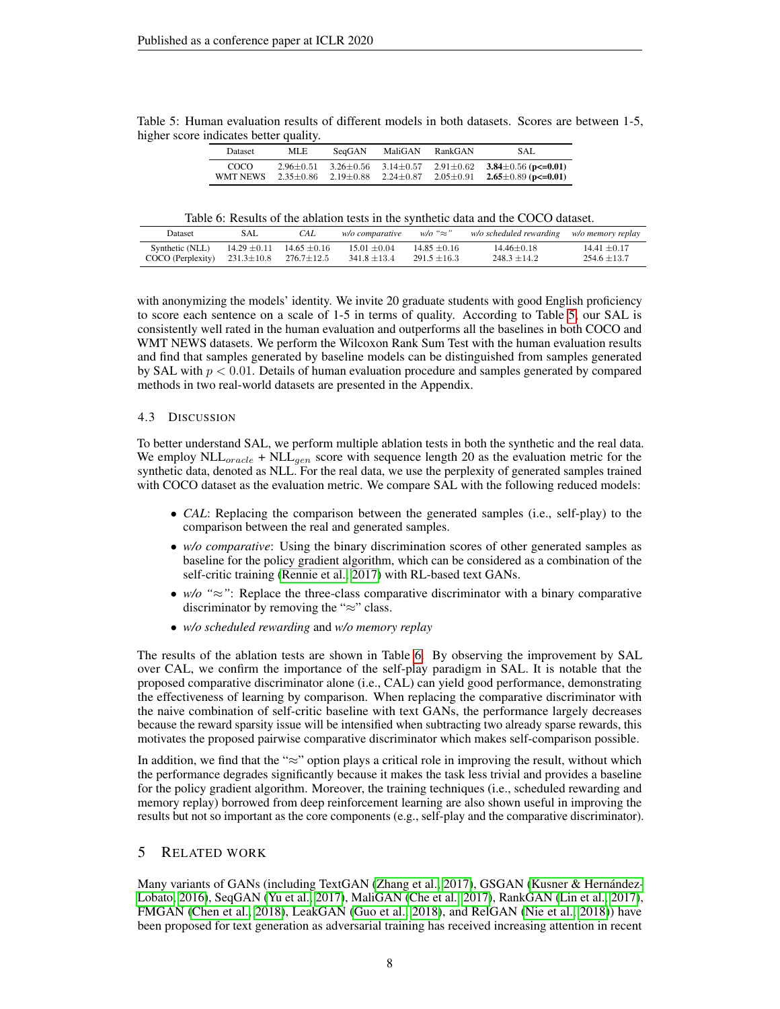<span id="page-7-0"></span>

|  |                                        |  |  | Table 5: Human evaluation results of different models in both datasets. Scores are between 1-5, |  |
|--|----------------------------------------|--|--|-------------------------------------------------------------------------------------------------|--|
|  | higher score indicates better quality. |  |  |                                                                                                 |  |

| Dataset  | MLE.          | SeaGAN        | MaliGAN       | RankGAN         | SAL                              |
|----------|---------------|---------------|---------------|-----------------|----------------------------------|
| COCO.    | $2.96 + 0.51$ | $3.26 + 0.56$ | $3.14 + 0.57$ | $2.91 \pm 0.62$ | 3.84 $\pm$ 0.56 (p $\leq$ =0.01) |
| WMT NEWS | $2.35 + 0.86$ | $2.19 + 0.88$ | $2.24 + 0.87$ | $2.05 \pm 0.91$ | $2.65 \pm 0.89$ (p $\leq 0.01$ ) |

Table 6: Results of the ablation tests in the synthetic data and the COCO dataset.

<span id="page-7-1"></span>

| Dataset           | SAL              | CAL                               | <i>w/o comparative</i> | $w/o$ " $\approx$ " | w/o scheduled rewarding | w/o memory replay |
|-------------------|------------------|-----------------------------------|------------------------|---------------------|-------------------------|-------------------|
| Synthetic (NLL)   |                  | $14.29 \pm 0.11$ $14.65 \pm 0.16$ | $15.01 + 0.04$         | $14.85 + 0.16$      | $14.46 + 0.18$          | $14.41 + 0.17$    |
| COCO (Perplexity) | $231.3 \pm 10.8$ | $276.7 + 12.5$                    | $341.8 + 13.4$         | $291.5 + 16.3$      | $248.3 + 14.2$          | $254.6 + 13.7$    |

with anonymizing the models' identity. We invite 20 graduate students with good English proficiency to score each sentence on a scale of 1-5 in terms of quality. According to Table [5,](#page-7-0) our SAL is consistently well rated in the human evaluation and outperforms all the baselines in both COCO and WMT NEWS datasets. We perform the Wilcoxon Rank Sum Test with the human evaluation results and find that samples generated by baseline models can be distinguished from samples generated by SAL with  $p < 0.01$ . Details of human evaluation procedure and samples generated by compared methods in two real-world datasets are presented in the Appendix.

### 4.3 DISCUSSION

To better understand SAL, we perform multiple ablation tests in both the synthetic and the real data. We employ  $NLL_{oracle} + NLL_{gen}$  score with sequence length 20 as the evaluation metric for the synthetic data, denoted as NLL. For the real data, we use the perplexity of generated samples trained with COCO dataset as the evaluation metric. We compare SAL with the following reduced models:

- *CAL*: Replacing the comparison between the generated samples (i.e., self-play) to the comparison between the real and generated samples.
- *w/o comparative*: Using the binary discrimination scores of other generated samples as baseline for the policy gradient algorithm, which can be considered as a combination of the self-critic training [\(Rennie et al., 2017\)](#page-9-4) with RL-based text GANs.
- *w/o "*≈*"*: Replace the three-class comparative discriminator with a binary comparative discriminator by removing the "≈" class.
- *w/o scheduled rewarding* and *w/o memory replay*

The results of the ablation tests are shown in Table [6.](#page-7-1) By observing the improvement by SAL over CAL, we confirm the importance of the self-play paradigm in SAL. It is notable that the proposed comparative discriminator alone (i.e., CAL) can yield good performance, demonstrating the effectiveness of learning by comparison. When replacing the comparative discriminator with the naive combination of self-critic baseline with text GANs, the performance largely decreases because the reward sparsity issue will be intensified when subtracting two already sparse rewards, this motivates the proposed pairwise comparative discriminator which makes self-comparison possible.

In addition, we find that the "≈" option plays a critical role in improving the result, without which the performance degrades significantly because it makes the task less trivial and provides a baseline for the policy gradient algorithm. Moreover, the training techniques (i.e., scheduled rewarding and memory replay) borrowed from deep reinforcement learning are also shown useful in improving the results but not so important as the core components (e.g., self-play and the comparative discriminator).

## 5 RELATED WORK

Many variants of GANs (including TextGAN [\(Zhang et al., 2017\)](#page-9-15), GSGAN [\(Kusner & Hernández-](#page-9-16)[Lobato, 2016\)](#page-9-16), SeqGAN [\(Yu et al., 2017\)](#page-9-1), MaliGAN [\(Che et al., 2017\)](#page-8-1), RankGAN [\(Lin et al., 2017\)](#page-9-2), FMGAN [\(Chen et al., 2018\)](#page-8-7), LeakGAN [\(Guo et al., 2018\)](#page-8-3), and RelGAN [\(Nie et al., 2018\)](#page-9-9)) have been proposed for text generation as adversarial training has received increasing attention in recent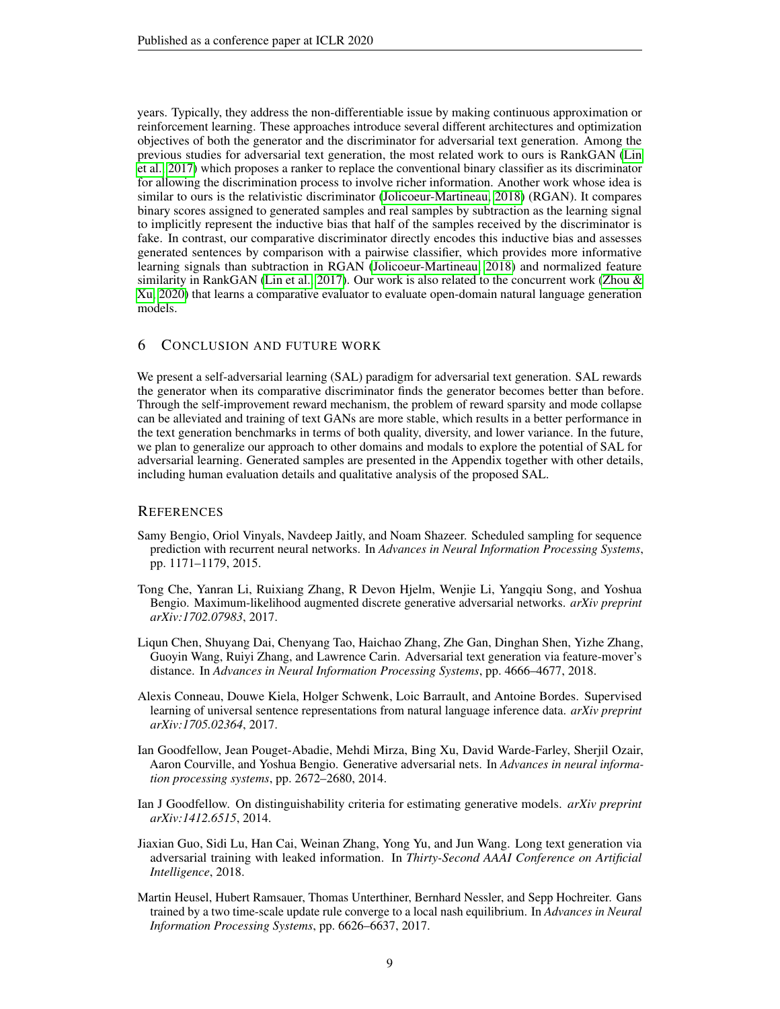years. Typically, they address the non-differentiable issue by making continuous approximation or reinforcement learning. These approaches introduce several different architectures and optimization objectives of both the generator and the discriminator for adversarial text generation. Among the previous studies for adversarial text generation, the most related work to ours is RankGAN [\(Lin](#page-9-2) [et al., 2017\)](#page-9-2) which proposes a ranker to replace the conventional binary classifier as its discriminator for allowing the discrimination process to involve richer information. Another work whose idea is similar to ours is the relativistic discriminator [\(Jolicoeur-Martineau, 2018\)](#page-9-17) (RGAN). It compares binary scores assigned to generated samples and real samples by subtraction as the learning signal to implicitly represent the inductive bias that half of the samples received by the discriminator is fake. In contrast, our comparative discriminator directly encodes this inductive bias and assesses generated sentences by comparison with a pairwise classifier, which provides more informative learning signals than subtraction in RGAN [\(Jolicoeur-Martineau, 2018\)](#page-9-17) and normalized feature similarity in RankGAN [\(Lin et al., 2017\)](#page-9-2). Our work is also related to the concurrent work [\(Zhou &](#page-9-18) [Xu, 2020\)](#page-9-18) that learns a comparative evaluator to evaluate open-domain natural language generation models.

# 6 CONCLUSION AND FUTURE WORK

We present a self-adversarial learning (SAL) paradigm for adversarial text generation. SAL rewards the generator when its comparative discriminator finds the generator becomes better than before. Through the self-improvement reward mechanism, the problem of reward sparsity and mode collapse can be alleviated and training of text GANs are more stable, which results in a better performance in the text generation benchmarks in terms of both quality, diversity, and lower variance. In the future, we plan to generalize our approach to other domains and modals to explore the potential of SAL for adversarial learning. Generated samples are presented in the Appendix together with other details, including human evaluation details and qualitative analysis of the proposed SAL.

### **REFERENCES**

- <span id="page-8-2"></span>Samy Bengio, Oriol Vinyals, Navdeep Jaitly, and Noam Shazeer. Scheduled sampling for sequence prediction with recurrent neural networks. In *Advances in Neural Information Processing Systems*, pp. 1171–1179, 2015.
- <span id="page-8-1"></span>Tong Che, Yanran Li, Ruixiang Zhang, R Devon Hjelm, Wenjie Li, Yangqiu Song, and Yoshua Bengio. Maximum-likelihood augmented discrete generative adversarial networks. *arXiv preprint arXiv:1702.07983*, 2017.
- <span id="page-8-7"></span>Liqun Chen, Shuyang Dai, Chenyang Tao, Haichao Zhang, Zhe Gan, Dinghan Shen, Yizhe Zhang, Guoyin Wang, Ruiyi Zhang, and Lawrence Carin. Adversarial text generation via feature-mover's distance. In *Advances in Neural Information Processing Systems*, pp. 4666–4677, 2018.
- <span id="page-8-6"></span>Alexis Conneau, Douwe Kiela, Holger Schwenk, Loic Barrault, and Antoine Bordes. Supervised learning of universal sentence representations from natural language inference data. *arXiv preprint arXiv:1705.02364*, 2017.
- <span id="page-8-0"></span>Ian Goodfellow, Jean Pouget-Abadie, Mehdi Mirza, Bing Xu, David Warde-Farley, Sherjil Ozair, Aaron Courville, and Yoshua Bengio. Generative adversarial nets. In *Advances in neural information processing systems*, pp. 2672–2680, 2014.
- <span id="page-8-4"></span>Ian J Goodfellow. On distinguishability criteria for estimating generative models. *arXiv preprint arXiv:1412.6515*, 2014.
- <span id="page-8-3"></span>Jiaxian Guo, Sidi Lu, Han Cai, Weinan Zhang, Yong Yu, and Jun Wang. Long text generation via adversarial training with leaked information. In *Thirty-Second AAAI Conference on Artificial Intelligence*, 2018.
- <span id="page-8-5"></span>Martin Heusel, Hubert Ramsauer, Thomas Unterthiner, Bernhard Nessler, and Sepp Hochreiter. Gans trained by a two time-scale update rule converge to a local nash equilibrium. In *Advances in Neural Information Processing Systems*, pp. 6626–6637, 2017.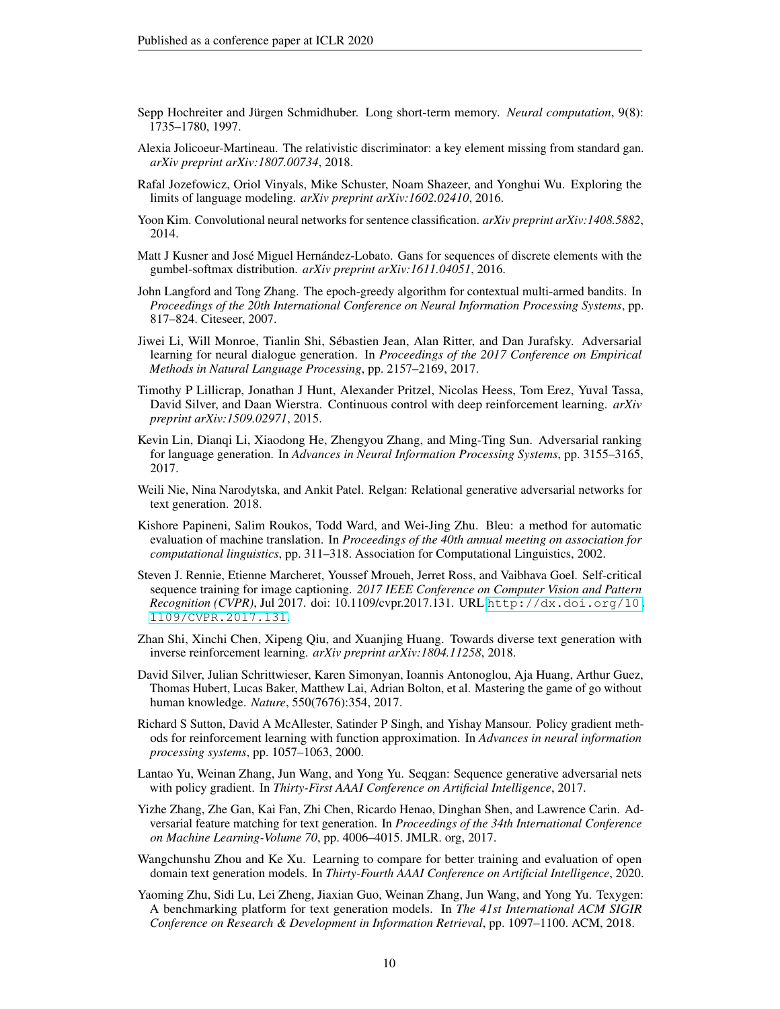- <span id="page-9-10"></span>Sepp Hochreiter and Jürgen Schmidhuber. Long short-term memory. *Neural computation*, 9(8): 1735–1780, 1997.
- <span id="page-9-17"></span>Alexia Jolicoeur-Martineau. The relativistic discriminator: a key element missing from standard gan. *arXiv preprint arXiv:1807.00734*, 2018.
- <span id="page-9-13"></span>Rafal Jozefowicz, Oriol Vinyals, Mike Schuster, Noam Shazeer, and Yonghui Wu. Exploring the limits of language modeling. *arXiv preprint arXiv:1602.02410*, 2016.
- <span id="page-9-11"></span>Yoon Kim. Convolutional neural networks for sentence classification. *arXiv preprint arXiv:1408.5882*, 2014.
- <span id="page-9-16"></span>Matt J Kusner and José Miguel Hernández-Lobato. Gans for sequences of discrete elements with the gumbel-softmax distribution. *arXiv preprint arXiv:1611.04051*, 2016.
- <span id="page-9-6"></span>John Langford and Tong Zhang. The epoch-greedy algorithm for contextual multi-armed bandits. In *Proceedings of the 20th International Conference on Neural Information Processing Systems*, pp. 817–824. Citeseer, 2007.
- <span id="page-9-14"></span>Jiwei Li, Will Monroe, Tianlin Shi, Sébastien Jean, Alan Ritter, and Dan Jurafsky. Adversarial learning for neural dialogue generation. In *Proceedings of the 2017 Conference on Empirical Methods in Natural Language Processing*, pp. 2157–2169, 2017.
- <span id="page-9-7"></span>Timothy P Lillicrap, Jonathan J Hunt, Alexander Pritzel, Nicolas Heess, Tom Erez, Yuval Tassa, David Silver, and Daan Wierstra. Continuous control with deep reinforcement learning. *arXiv preprint arXiv:1509.02971*, 2015.
- <span id="page-9-2"></span>Kevin Lin, Dianqi Li, Xiaodong He, Zhengyou Zhang, and Ming-Ting Sun. Adversarial ranking for language generation. In *Advances in Neural Information Processing Systems*, pp. 3155–3165, 2017.
- <span id="page-9-9"></span>Weili Nie, Nina Narodytska, and Ankit Patel. Relgan: Relational generative adversarial networks for text generation. 2018.
- <span id="page-9-12"></span>Kishore Papineni, Salim Roukos, Todd Ward, and Wei-Jing Zhu. Bleu: a method for automatic evaluation of machine translation. In *Proceedings of the 40th annual meeting on association for computational linguistics*, pp. 311–318. Association for Computational Linguistics, 2002.
- <span id="page-9-4"></span>Steven J. Rennie, Etienne Marcheret, Youssef Mroueh, Jerret Ross, and Vaibhava Goel. Self-critical sequence training for image captioning. *2017 IEEE Conference on Computer Vision and Pattern Recognition (CVPR)*, Jul 2017. doi: 10.1109/cvpr.2017.131. URL [http://dx.doi.org/10.](http://dx.doi.org/10.1109/CVPR.2017.131) [1109/CVPR.2017.131](http://dx.doi.org/10.1109/CVPR.2017.131).
- <span id="page-9-8"></span>Zhan Shi, Xinchi Chen, Xipeng Qiu, and Xuanjing Huang. Towards diverse text generation with inverse reinforcement learning. *arXiv preprint arXiv:1804.11258*, 2018.
- <span id="page-9-3"></span>David Silver, Julian Schrittwieser, Karen Simonyan, Ioannis Antonoglou, Aja Huang, Arthur Guez, Thomas Hubert, Lucas Baker, Matthew Lai, Adrian Bolton, et al. Mastering the game of go without human knowledge. *Nature*, 550(7676):354, 2017.
- <span id="page-9-5"></span>Richard S Sutton, David A McAllester, Satinder P Singh, and Yishay Mansour. Policy gradient methods for reinforcement learning with function approximation. In *Advances in neural information processing systems*, pp. 1057–1063, 2000.
- <span id="page-9-1"></span>Lantao Yu, Weinan Zhang, Jun Wang, and Yong Yu. Seqgan: Sequence generative adversarial nets with policy gradient. In *Thirty-First AAAI Conference on Artificial Intelligence*, 2017.
- <span id="page-9-15"></span>Yizhe Zhang, Zhe Gan, Kai Fan, Zhi Chen, Ricardo Henao, Dinghan Shen, and Lawrence Carin. Adversarial feature matching for text generation. In *Proceedings of the 34th International Conference on Machine Learning-Volume 70*, pp. 4006–4015. JMLR. org, 2017.
- <span id="page-9-18"></span>Wangchunshu Zhou and Ke Xu. Learning to compare for better training and evaluation of open domain text generation models. In *Thirty-Fourth AAAI Conference on Artificial Intelligence*, 2020.
- <span id="page-9-0"></span>Yaoming Zhu, Sidi Lu, Lei Zheng, Jiaxian Guo, Weinan Zhang, Jun Wang, and Yong Yu. Texygen: A benchmarking platform for text generation models. In *The 41st International ACM SIGIR Conference on Research & Development in Information Retrieval*, pp. 1097–1100. ACM, 2018.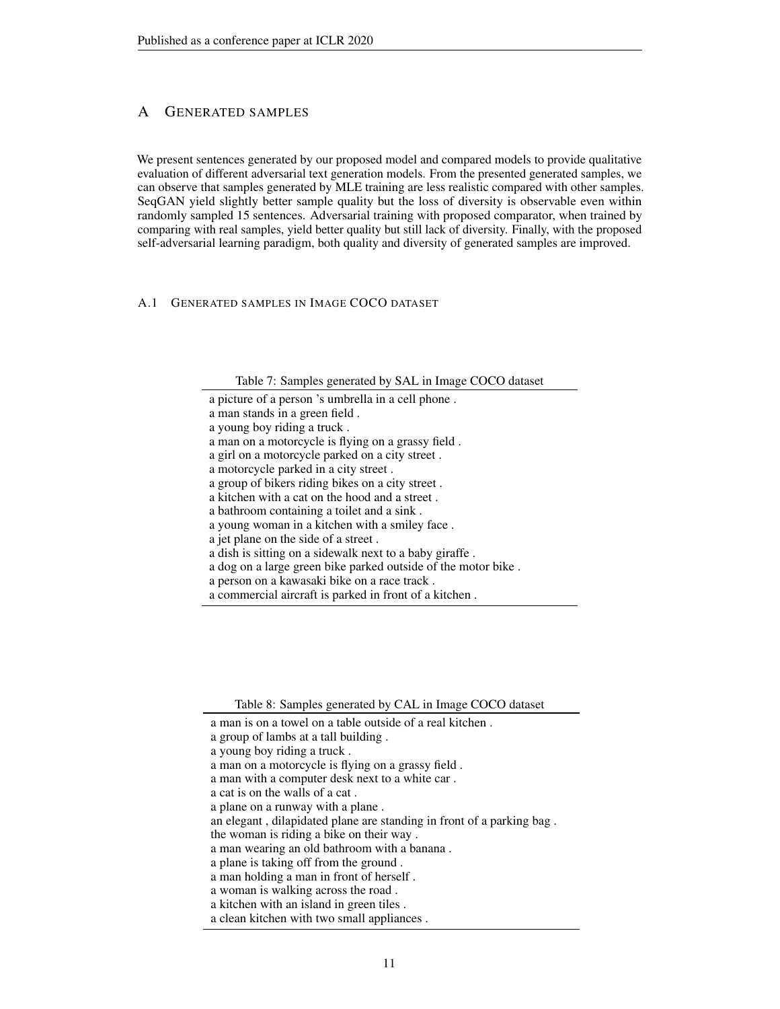# A GENERATED SAMPLES

We present sentences generated by our proposed model and compared models to provide qualitative evaluation of different adversarial text generation models. From the presented generated samples, we can observe that samples generated by MLE training are less realistic compared with other samples. SeqGAN yield slightly better sample quality but the loss of diversity is observable even within randomly sampled 15 sentences. Adversarial training with proposed comparator, when trained by comparing with real samples, yield better quality but still lack of diversity. Finally, with the proposed self-adversarial learning paradigm, both quality and diversity of generated samples are improved.

## A.1 GENERATED SAMPLES IN IMAGE COCO DATASET

Table 7: Samples generated by SAL in Image COCO dataset

a picture of a person 's umbrella in a cell phone .

a man stands in a green field .

- a young boy riding a truck .
- a man on a motorcycle is flying on a grassy field .
- a girl on a motorcycle parked on a city street .
- a motorcycle parked in a city street .
- a group of bikers riding bikes on a city street .
- a kitchen with a cat on the hood and a street .
- a bathroom containing a toilet and a sink .
- a young woman in a kitchen with a smiley face .
- a jet plane on the side of a street .
- a dish is sitting on a sidewalk next to a baby giraffe .
- a dog on a large green bike parked outside of the motor bike .
- a person on a kawasaki bike on a race track .
- a commercial aircraft is parked in front of a kitchen .

Table 8: Samples generated by CAL in Image COCO dataset

- a group of lambs at a tall building .
- a young boy riding a truck .
- a man on a motorcycle is flying on a grassy field .
- a man with a computer desk next to a white car .
- a cat is on the walls of a cat .
- a plane on a runway with a plane .
- an elegant , dilapidated plane are standing in front of a parking bag .
- the woman is riding a bike on their way .
- a man wearing an old bathroom with a banana .
- a plane is taking off from the ground .
- a man holding a man in front of herself .
- a woman is walking across the road .
- a kitchen with an island in green tiles .
- a clean kitchen with two small appliances .

a man is on a towel on a table outside of a real kitchen .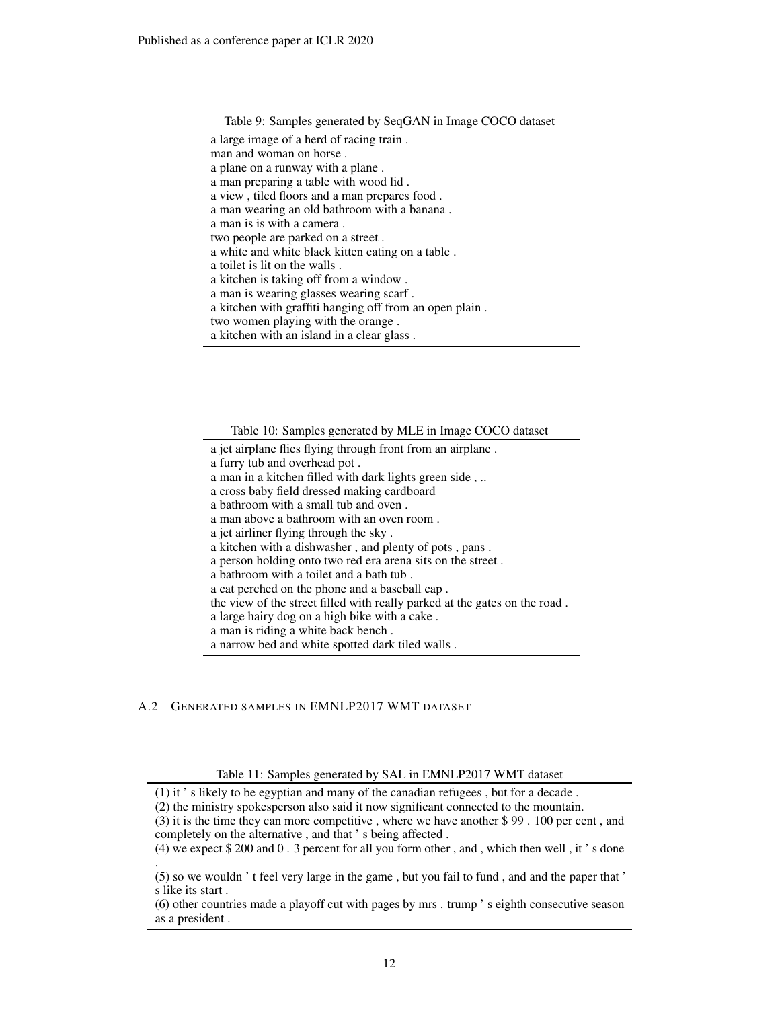|  |  | Table 9: Samples generated by SeqGAN in Image COCO dataset |
|--|--|------------------------------------------------------------|
|  |  |                                                            |

Table 10: Samples generated by MLE in Image COCO dataset

a jet airplane flies flying through front from an airplane .

- a furry tub and overhead pot .
- a man in a kitchen filled with dark lights green side , ..
- a cross baby field dressed making cardboard
- a bathroom with a small tub and oven .
- a man above a bathroom with an oven room .
- a jet airliner flying through the sky .
- a kitchen with a dishwasher , and plenty of pots , pans .
- a person holding onto two red era arena sits on the street .
- a bathroom with a toilet and a bath tub .
- a cat perched on the phone and a baseball cap .

the view of the street filled with really parked at the gates on the road .

a large hairy dog on a high bike with a cake .

a man is riding a white back bench .

a narrow bed and white spotted dark tiled walls .

## A.2 GENERATED SAMPLES IN EMNLP2017 WMT DATASET

Table 11: Samples generated by SAL in EMNLP2017 WMT dataset

<sup>(1)</sup> it ' s likely to be egyptian and many of the canadian refugees , but for a decade .

<sup>(2)</sup> the ministry spokesperson also said it now significant connected to the mountain.

<sup>(3)</sup> it is the time they can more competitive , where we have another \$ 99 . 100 per cent , and completely on the alternative , and that ' s being affected .

<sup>(4)</sup> we expect \$ 200 and 0 . 3 percent for all you form other , and , which then well , it ' s done .

<sup>(5)</sup> so we wouldn ' t feel very large in the game , but you fail to fund , and and the paper that ' s like its start .

<sup>(6)</sup> other countries made a playoff cut with pages by mrs . trump ' s eighth consecutive season as a president .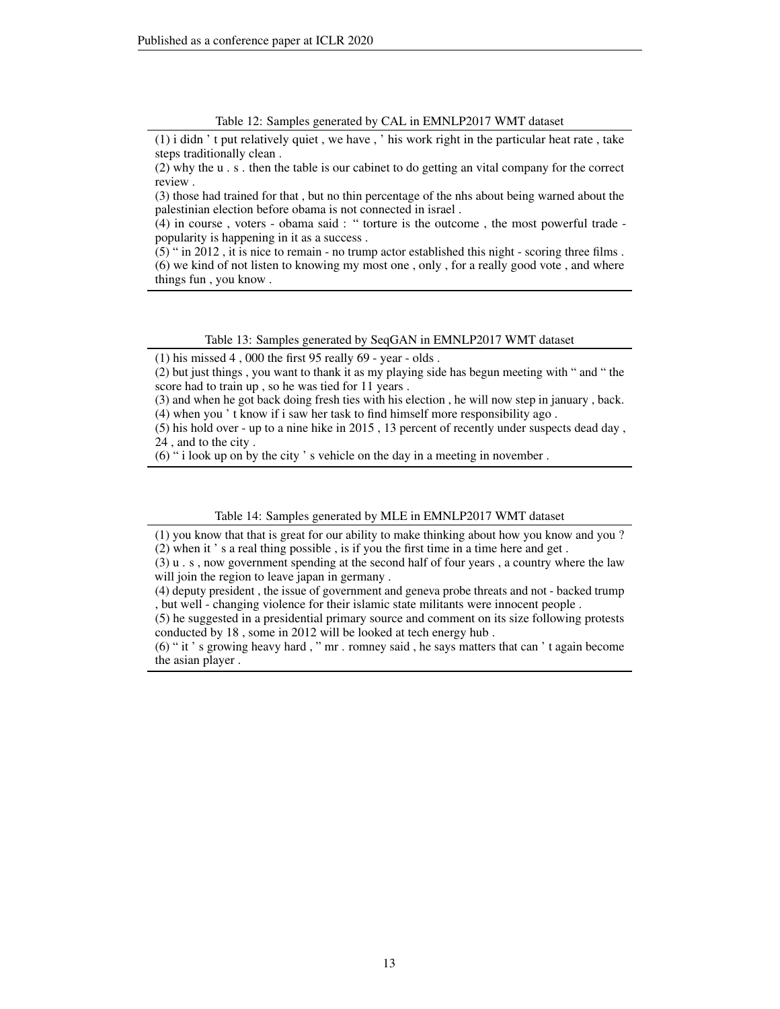#### Table 12: Samples generated by CAL in EMNLP2017 WMT dataset

(1) i didn ' t put relatively quiet , we have , ' his work right in the particular heat rate , take steps traditionally clean .

(2) why the u . s . then the table is our cabinet to do getting an vital company for the correct review .

(3) those had trained for that , but no thin percentage of the nhs about being warned about the palestinian election before obama is not connected in israel .

 $(4)$  in course, voters - obama said: " torture is the outcome, the most powerful trade popularity is happening in it as a success .

(5) " in 2012 , it is nice to remain - no trump actor established this night - scoring three films . (6) we kind of not listen to knowing my most one , only , for a really good vote , and where things fun , you know .

#### Table 13: Samples generated by SeqGAN in EMNLP2017 WMT dataset

 $(1)$  his missed 4, 000 the first 95 really 69 - year - olds.

(2) but just things , you want to thank it as my playing side has begun meeting with " and " the score had to train up , so he was tied for 11 years .

(3) and when he got back doing fresh ties with his election , he will now step in january , back. (4) when you ' t know if i saw her task to find himself more responsibility ago .

(5) his hold over - up to a nine hike in 2015 , 13 percent of recently under suspects dead day , 24 , and to the city .

(6) " i look up on by the city ' s vehicle on the day in a meeting in november .

#### Table 14: Samples generated by MLE in EMNLP2017 WMT dataset

(1) you know that that is great for our ability to make thinking about how you know and you ? (2) when it ' s a real thing possible , is if you the first time in a time here and get .

(3) u . s , now government spending at the second half of four years , a country where the law will join the region to leave japan in germany.

(4) deputy president , the issue of government and geneva probe threats and not - backed trump , but well - changing violence for their islamic state militants were innocent people .

(5) he suggested in a presidential primary source and comment on its size following protests conducted by 18 , some in 2012 will be looked at tech energy hub .

(6) " it ' s growing heavy hard , " mr . romney said , he says matters that can ' t again become the asian player .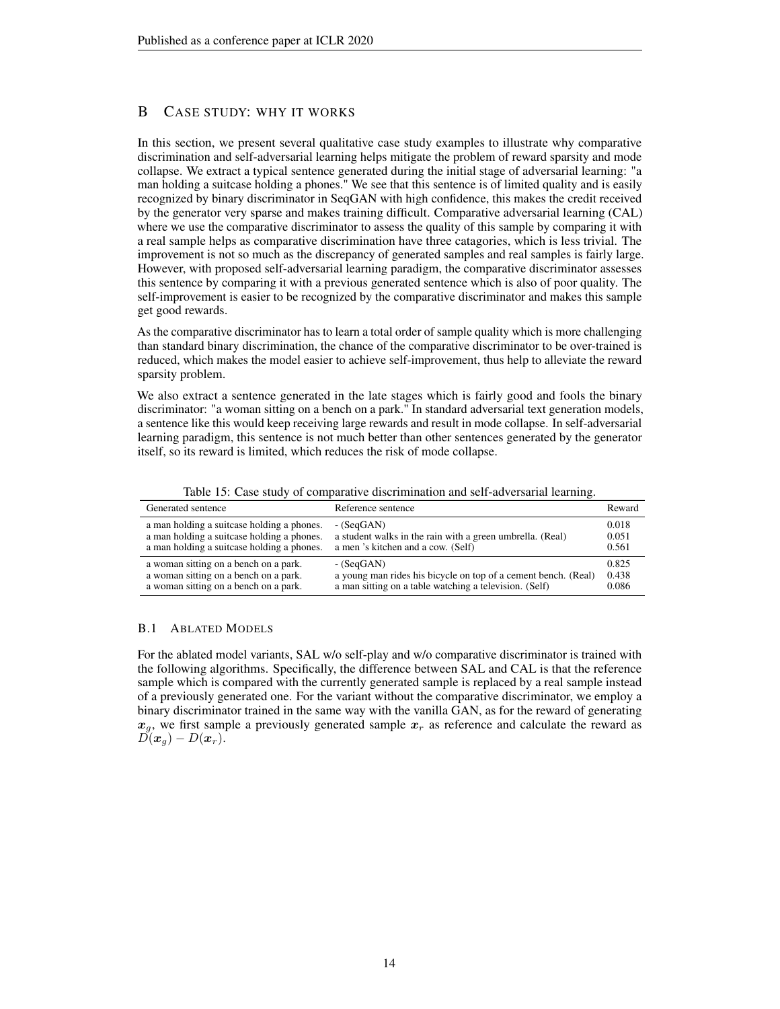# B CASE STUDY: WHY IT WORKS

In this section, we present several qualitative case study examples to illustrate why comparative discrimination and self-adversarial learning helps mitigate the problem of reward sparsity and mode collapse. We extract a typical sentence generated during the initial stage of adversarial learning: "a man holding a suitcase holding a phones." We see that this sentence is of limited quality and is easily recognized by binary discriminator in SeqGAN with high confidence, this makes the credit received by the generator very sparse and makes training difficult. Comparative adversarial learning (CAL) where we use the comparative discriminator to assess the quality of this sample by comparing it with a real sample helps as comparative discrimination have three catagories, which is less trivial. The improvement is not so much as the discrepancy of generated samples and real samples is fairly large. However, with proposed self-adversarial learning paradigm, the comparative discriminator assesses this sentence by comparing it with a previous generated sentence which is also of poor quality. The self-improvement is easier to be recognized by the comparative discriminator and makes this sample get good rewards.

As the comparative discriminator has to learn a total order of sample quality which is more challenging than standard binary discrimination, the chance of the comparative discriminator to be over-trained is reduced, which makes the model easier to achieve self-improvement, thus help to alleviate the reward sparsity problem.

We also extract a sentence generated in the late stages which is fairly good and fools the binary discriminator: "a woman sitting on a bench on a park." In standard adversarial text generation models, a sentence like this would keep receiving large rewards and result in mode collapse. In self-adversarial learning paradigm, this sentence is not much better than other sentences generated by the generator itself, so its reward is limited, which reduces the risk of mode collapse.

| Generated sentence                         | Reference sentence                                             | Reward |
|--------------------------------------------|----------------------------------------------------------------|--------|
| a man holding a suitcase holding a phones. | $-SeqGAN$                                                      | 0.018  |
| a man holding a suitcase holding a phones. | a student walks in the rain with a green umbrella. (Real)      | 0.051  |
| a man holding a suitcase holding a phones. | a men 's kitchen and a cow. (Self)                             | 0.561  |
| a woman sitting on a bench on a park.      | $-$ (SeqGAN)                                                   | 0.825  |
| a woman sitting on a bench on a park.      | a young man rides his bicycle on top of a cement bench. (Real) | 0.438  |
| a woman sitting on a bench on a park.      | a man sitting on a table watching a television. (Self)         | 0.086  |

Table 15: Case study of comparative discrimination and self-adversarial learning.

## B.1 ABLATED MODELS

For the ablated model variants, SAL w/o self-play and w/o comparative discriminator is trained with the following algorithms. Specifically, the difference between SAL and CAL is that the reference sample which is compared with the currently generated sample is replaced by a real sample instead of a previously generated one. For the variant without the comparative discriminator, we employ a binary discriminator trained in the same way with the vanilla GAN, as for the reward of generating  $x_q$ , we first sample a previously generated sample  $x_r$  as reference and calculate the reward as  $\overline{D}(\boldsymbol{x}_q) - D(\boldsymbol{x}_r).$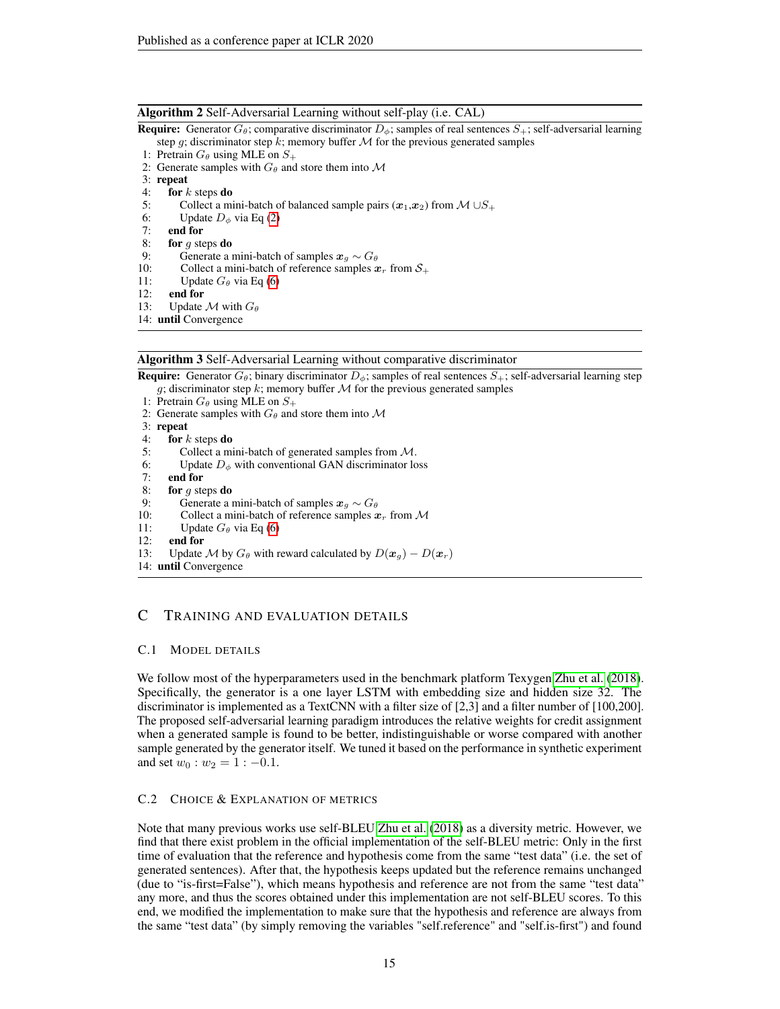#### Algorithm 2 Self-Adversarial Learning without self-play (i.e. CAL)

**Require:** Generator  $G_{\theta}$ ; comparative discriminator  $D_{\phi}$ ; samples of real sentences  $S_{+}$ ; self-adversarial learning

- step g; discriminator step k; memory buffer  $M$  for the previous generated samples
- 1: Pretrain  $G_{\theta}$  using MLE on  $S_{+}$
- 2: Generate samples with  $G_{\theta}$  and store them into M
- 3: repeat<br>4: for  $k$
- for  $k$  steps do
- 5: Collect a mini-batch of balanced sample pairs  $(\mathbf{x}_1,\mathbf{x}_2)$  from  $\mathcal{M} \cup S_+$
- 6: Update  $D_{\phi}$  via Eq [\(2\)](#page-3-0)<br>7: **end for**
- end for
- 8: for  $g$  steps do
- 9: Generate a mini-batch of samples  $x_g \sim G_\theta$
- 10: Collect a mini-batch of reference samples  $x_r$  from  $S_+$
- 11: Update  $G_{\theta}$  via Eq [\(6\)](#page-3-2)
- 12: end for
- 13: Update  $\mathcal M$  with  $G_\theta$
- 14: until Convergence

#### Algorithm 3 Self-Adversarial Learning without comparative discriminator

<span id="page-14-0"></span>**Require:** Generator  $G_{\theta}$ ; binary discriminator  $D_{\phi}$ ; samples of real sentences  $S_{+}$ ; self-adversarial learning step g; discriminator step k; memory buffer  $M$  for the previous generated samples

- 1: Pretrain  $G_{\theta}$  using MLE on  $S_{+}$
- 2: Generate samples with  $G_{\theta}$  and store them into M
- 3: repeat
- 4: for  $k$  steps do
- 5: Collect a mini-batch of generated samples from M.
- 6: Update  $D_{\phi}$  with conventional GAN discriminator loss
- 7: end for
- 8: for  $g$  steps do
- 9: Generate a mini-batch of samples  $x_g \sim G_\theta$ <br>10: Collect a mini-batch of reference samples x
- Collect a mini-batch of reference samples  $x_r$  from  $\mathcal M$
- 11: Update  $G_{\theta}$  via Eq [\(6\)](#page-3-2)
- 12: end for
- 13: Update M by  $G_\theta$  with reward calculated by  $D(\mathbf{x}_g) D(\mathbf{x}_r)$
- 14: until Convergence

# C TRAINING AND EVALUATION DETAILS

### C.1 MODEL DETAILS

We follow most of the hyperparameters used in the benchmark platform Texygen [Zhu et al.](#page-9-0) [\(2018\)](#page-9-0). Specifically, the generator is a one layer LSTM with embedding size and hidden size 32. The discriminator is implemented as a TextCNN with a filter size of [2,3] and a filter number of [100,200]. The proposed self-adversarial learning paradigm introduces the relative weights for credit assignment when a generated sample is found to be better, indistinguishable or worse compared with another sample generated by the generator itself. We tuned it based on the performance in synthetic experiment and set  $w_0 : w_2 = 1 : -0.1$ .

## C.2 CHOICE & EXPLANATION OF METRICS

Note that many previous works use self-BLEU [Zhu et al.](#page-9-0) [\(2018\)](#page-9-0) as a diversity metric. However, we find that there exist problem in the official implementation of the self-BLEU metric: Only in the first time of evaluation that the reference and hypothesis come from the same "test data" (i.e. the set of generated sentences). After that, the hypothesis keeps updated but the reference remains unchanged (due to "is-first=False"), which means hypothesis and reference are not from the same "test data" any more, and thus the scores obtained under this implementation are not self-BLEU scores. To this end, we modified the implementation to make sure that the hypothesis and reference are always from the same "test data" (by simply removing the variables "self.reference" and "self.is-first") and found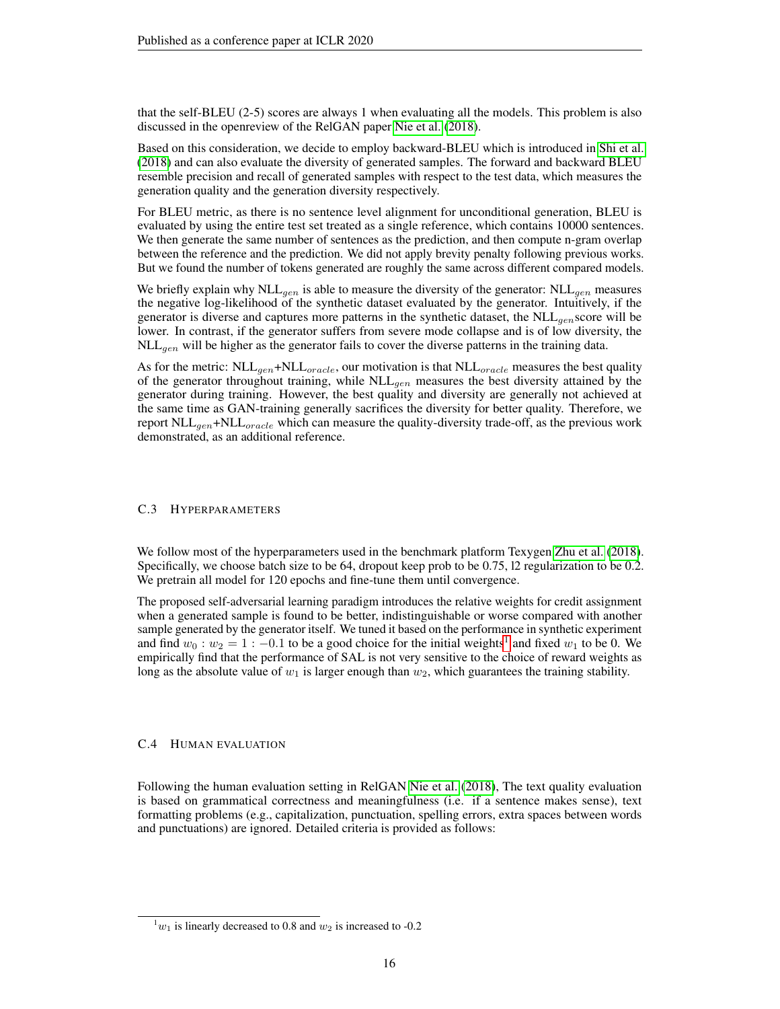that the self-BLEU (2-5) scores are always 1 when evaluating all the models. This problem is also discussed in the openreview of the RelGAN paper [Nie et al.](#page-9-9) [\(2018\)](#page-9-9).

Based on this consideration, we decide to employ backward-BLEU which is introduced in [Shi et al.](#page-9-8) [\(2018\)](#page-9-8) and can also evaluate the diversity of generated samples. The forward and backward BLEU resemble precision and recall of generated samples with respect to the test data, which measures the generation quality and the generation diversity respectively.

For BLEU metric, as there is no sentence level alignment for unconditional generation, BLEU is evaluated by using the entire test set treated as a single reference, which contains 10000 sentences. We then generate the same number of sentences as the prediction, and then compute n-gram overlap between the reference and the prediction. We did not apply brevity penalty following previous works. But we found the number of tokens generated are roughly the same across different compared models.

We briefly explain why NLL<sub>gen</sub> is able to measure the diversity of the generator: NLL<sub>gen</sub> measures the negative log-likelihood of the synthetic dataset evaluated by the generator. Intuitively, if the generator is diverse and captures more patterns in the synthetic dataset, the  $NLL_{gen}$  score will be lower. In contrast, if the generator suffers from severe mode collapse and is of low diversity, the  $\n NLL_{gen}$  will be higher as the generator fails to cover the diverse patterns in the training data.

As for the metric:  $\text{NLL}_{gen} + \text{NLL}_{oracle}$ , our motivation is that  $\text{NLL}_{oracle}$  measures the best quality of the generator throughout training, while  $NLL_{gen}$  measures the best diversity attained by the generator during training. However, the best quality and diversity are generally not achieved at the same time as GAN-training generally sacrifices the diversity for better quality. Therefore, we report  $\text{NLL}_{gen}$ + $\text{NLL}_{oracle}$  which can measure the quality-diversity trade-off, as the previous work demonstrated, as an additional reference.

#### C.3 HYPERPARAMETERS

We follow most of the hyperparameters used in the benchmark platform Texygen [Zhu et al.](#page-9-0) [\(2018\)](#page-9-0). Specifically, we choose batch size to be 64, dropout keep prob to be 0.75, l2 regularization to be 0.2. We pretrain all model for 120 epochs and fine-tune them until convergence.

The proposed self-adversarial learning paradigm introduces the relative weights for credit assignment when a generated sample is found to be better, indistinguishable or worse compared with another sample generated by the generator itself. We tuned it based on the performance in synthetic experiment and find  $w_0 : w_2 = 1 : -0.1$  $w_0 : w_2 = 1 : -0.1$  $w_0 : w_2 = 1 : -0.1$  to be a good choice for the initial weights<sup>1</sup> and fixed  $w_1$  to be 0. We empirically find that the performance of SAL is not very sensitive to the choice of reward weights as long as the absolute value of  $w_1$  is larger enough than  $w_2$ , which guarantees the training stability.

#### C.4 HUMAN EVALUATION

Following the human evaluation setting in RelGAN [Nie et al.](#page-9-9) [\(2018\)](#page-9-9), The text quality evaluation is based on grammatical correctness and meaningfulness (i.e. if a sentence makes sense), text formatting problems (e.g., capitalization, punctuation, spelling errors, extra spaces between words and punctuations) are ignored. Detailed criteria is provided as follows:

<span id="page-15-0"></span> $w_1$  is linearly decreased to 0.8 and  $w_2$  is increased to -0.2